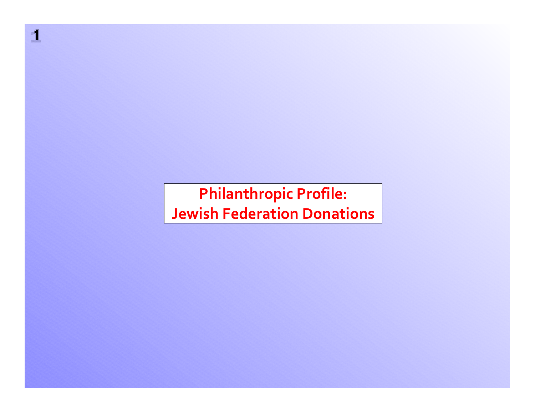**Philanthropic Profile: Jewish Federation Donations**

**11**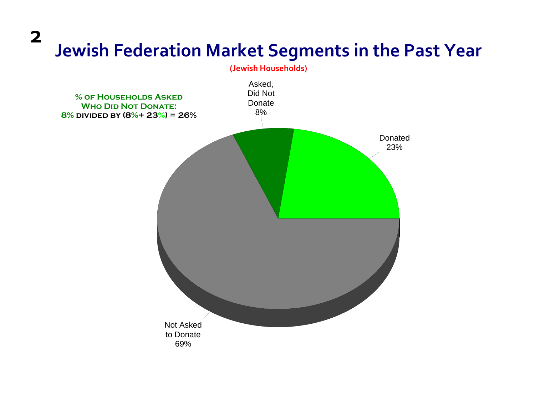**2**

### **Jewish Federation Market Segments in the Past Year**

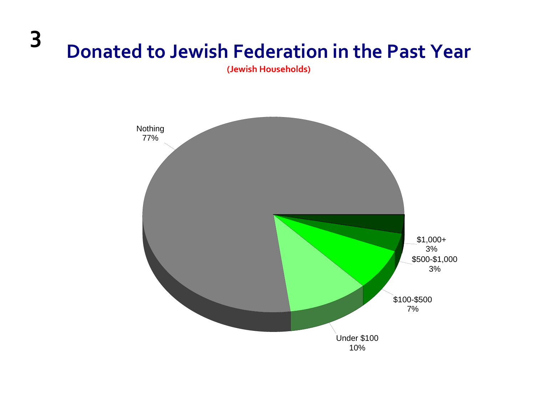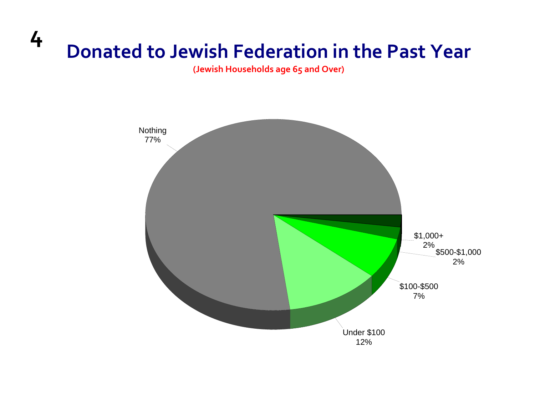**(Jewish Households age 65 and Over)**

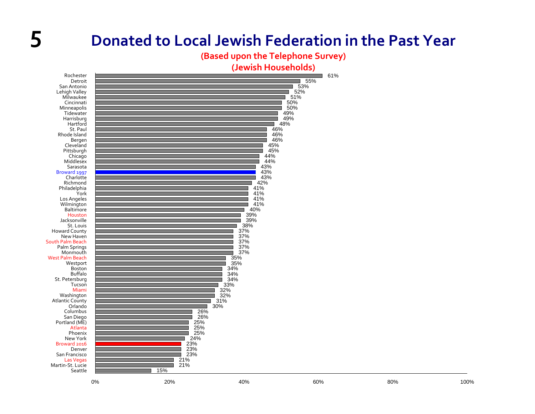**(Based upon the Telephone Survey)**

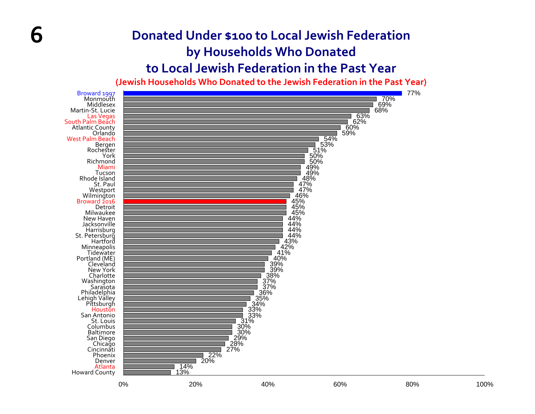#### **Donated Under \$100 to Local Jewish Federation by Households Who Donated to Local Jewish Federation in the Past Year**

**6**

**(Jewish Households Who Donated to the Jewish Federation in the Past Year)**

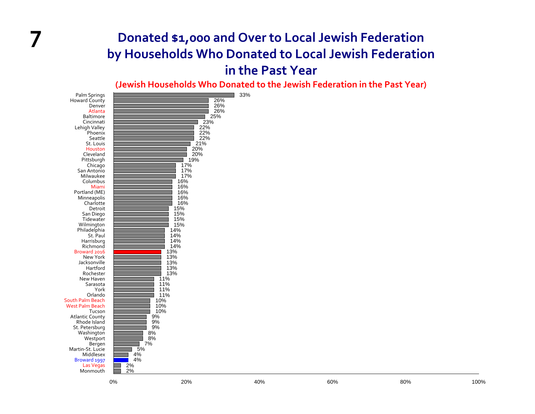#### **7 Donated \$1,000 and Over to Local Jewish Federation by Households Who Donated to Local Jewish Federation in the Past Year**

**(Jewish Households Who Donated to the Jewish Federation in the Past Year)**

| Palm Springs<br>Howard County<br>Denver<br>Atlanta<br>Baltimore<br>Cincinnati<br>Lehigh Valley<br>Phoenix<br>Seattle<br>St. Louis<br>Houston<br>Cleveland<br>Pittsburgh<br>Chicago<br>San Antonio<br>Milwaukee<br>Columbus<br>Miami<br>Portland (ME)<br>Minneapolis<br>Charlotte<br>Detroit<br>San Diego<br>Tidewater<br>Wilmington<br>Philadelphia<br>St. Paul<br>Harrisburg<br>Richmond<br>Broward 2016<br>New York<br>Jacksonville<br>Hartford<br>Rochester<br>New Haven<br>Sarasota<br>York<br>Orlando | 11%<br>11%<br>11%<br>11%                                                                                          | 26%<br>26%<br>26%<br>25%<br>23%<br>22%<br>22%<br>22%<br>21%<br>20%<br>$20%$<br>19%<br>77%<br>$\frac{17\%}{17\%}$<br>16%<br>16%<br>16%<br>16%<br>16%<br>15%<br>15%<br>15%<br>15%<br>$14\%$<br>14%<br>$\frac{14\%}{14\%}$<br>$\frac{13\%}{13\%}$<br>13%<br>13%<br>13% | 33% |     |     |      |
|------------------------------------------------------------------------------------------------------------------------------------------------------------------------------------------------------------------------------------------------------------------------------------------------------------------------------------------------------------------------------------------------------------------------------------------------------------------------------------------------------------|-------------------------------------------------------------------------------------------------------------------|---------------------------------------------------------------------------------------------------------------------------------------------------------------------------------------------------------------------------------------------------------------------|-----|-----|-----|------|
| South Palm Beach<br><b>West Palm Beach</b><br>Tucson<br><b>Atlantic County</b><br>Rhode Island<br>St. Petersburg<br>Washington<br>Westport<br>Bergen<br>Martin-St. Lucie<br>Middlesex<br>Broward 1997<br>Las Vegas<br>Monmouth                                                                                                                                                                                                                                                                             | 10%<br>10%<br>10%<br>9%<br>9%<br>9%<br>$\frac{8\%}{8\%}$<br>$7\%$<br>5%<br>$\frac{4\%}{4\%}$<br>$\frac{2\%}{2\%}$ |                                                                                                                                                                                                                                                                     |     |     |     |      |
|                                                                                                                                                                                                                                                                                                                                                                                                                                                                                                            | $0\%$                                                                                                             | 20%                                                                                                                                                                                                                                                                 | 40% | 60% | 80% | 100% |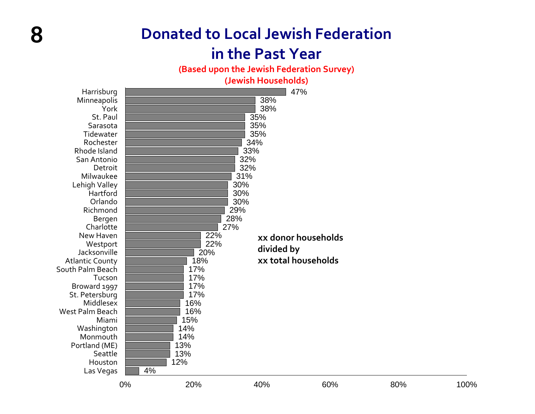### **Donated to Local Jewish Federation**

**8**

#### **in the Past Year**

**(Based upon the Jewish Federation Survey)**

**(Jewish Households)**

| Harrisburg             |       |     |            | 47%                 |     |      |  |  |
|------------------------|-------|-----|------------|---------------------|-----|------|--|--|
| Minneapolis            | 38%   |     |            |                     |     |      |  |  |
| York                   | 38%   |     |            |                     |     |      |  |  |
| St. Paul               | 35%   |     |            |                     |     |      |  |  |
| Sarasota               | 35%   |     |            |                     |     |      |  |  |
| Tidewater              |       |     | 35%        |                     |     |      |  |  |
| Rochester              |       |     | 34%        |                     |     |      |  |  |
| Rhode Island           |       | 33% |            |                     |     |      |  |  |
| San Antonio            |       | 32% |            |                     |     |      |  |  |
| Detroit                |       |     | 32%        |                     |     |      |  |  |
| Milwaukee              |       |     | 31%        |                     |     |      |  |  |
| Lehigh Valley          |       | 30% |            |                     |     |      |  |  |
| Hartford               |       |     | 30%        |                     |     |      |  |  |
| Orlando                |       |     | 30%        |                     |     |      |  |  |
| Richmond               |       |     | 29%        |                     |     |      |  |  |
| Bergen                 |       |     | 28%        |                     |     |      |  |  |
| Charlotte              |       |     | 27%        |                     |     |      |  |  |
| New Haven              |       | 22% |            | xx donor households |     |      |  |  |
| Westport               |       | 22% | divided by |                     |     |      |  |  |
| Jacksonville           |       | 20% |            |                     |     |      |  |  |
| <b>Atlantic County</b> |       | 18% |            | xx total households |     |      |  |  |
| South Palm Beach       |       | 17% |            |                     |     |      |  |  |
| Tucson                 |       | 17% |            |                     |     |      |  |  |
| Broward 1997           |       | 17% |            |                     |     |      |  |  |
| St. Petersburg         |       | 17% |            |                     |     |      |  |  |
| Middlesex              |       | 16% |            |                     |     |      |  |  |
| West Palm Beach        |       | 16% |            |                     |     |      |  |  |
| Miami                  |       | 15% |            |                     |     |      |  |  |
| Washington             |       | 14% |            |                     |     |      |  |  |
| Monmouth               |       | 14% |            |                     |     |      |  |  |
| Portland (ME)          |       | 13% |            |                     |     |      |  |  |
| Seattle                |       | 13% |            |                     |     |      |  |  |
| Houston                |       | 12% |            |                     |     |      |  |  |
| Las Vegas              | 4%    |     |            |                     |     |      |  |  |
|                        | $0\%$ | 20% | 40%        | 60%                 | 80% | 100% |  |  |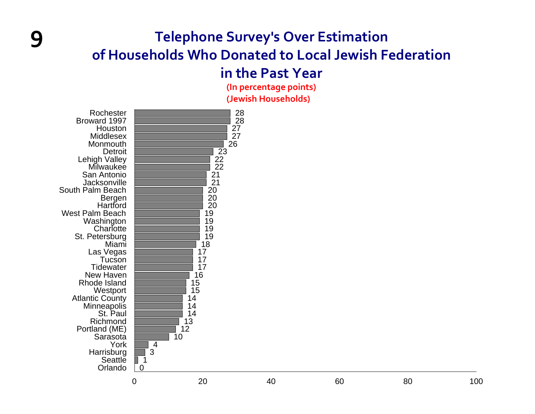### **Telephone Survey's Over Estimation of Households Who Donated to Local Jewish Federation**

#### **in the Past Year**

**(In percentage points) (Jewish Households)**



**9**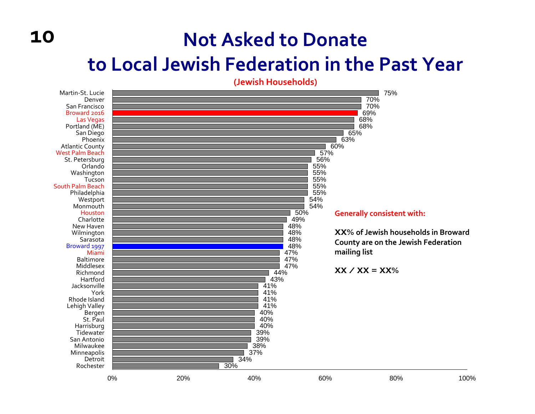### **Not Asked to Donate**

### **to Local Jewish Federation in the Past Year**

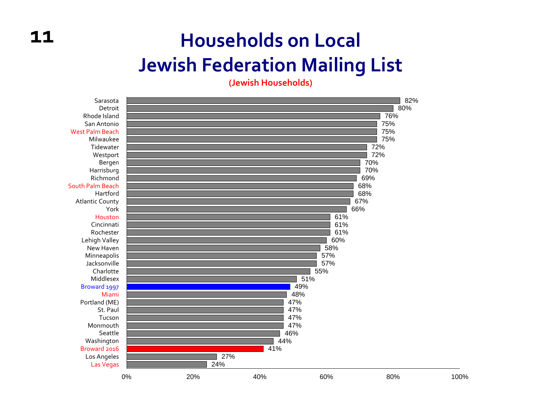## **Households on Local Jewish Federation Mailing List**

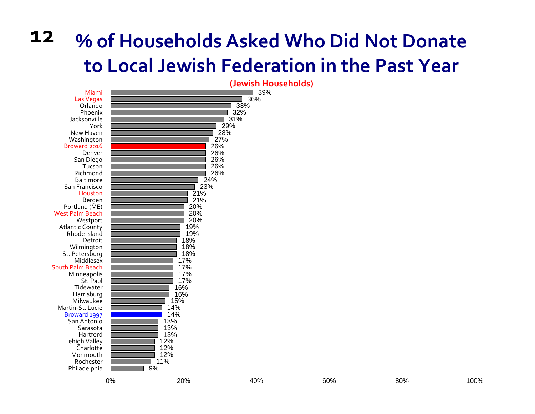#### **12 % of Households Asked Who Did Not Donate to Local Jewish Federation in the Past Year**

|                                         | (Jewish Households) |
|-----------------------------------------|---------------------|
| Miami                                   | 39%                 |
| <b>Las Vegas</b>                        | 36%                 |
| Orlando                                 | 33%                 |
| Phoenix                                 | 32%                 |
| Jacksonville                            | 31%                 |
| York                                    | 29%                 |
| New Haven                               | 28%                 |
| Washington                              | 27%                 |
| Broward 2016                            | 26%                 |
| Denver                                  | 26%                 |
| San Diego                               | 26%                 |
| Tucson                                  | 26%                 |
| Richmond                                | 26%                 |
| <b>Baltimore</b>                        | 24%                 |
| San Francisco                           | 23%                 |
| Houston                                 | 21%                 |
| Bergen                                  | 21%                 |
| Portland (ME)<br><b>West Palm Beach</b> | 20%<br>20%          |
|                                         | 20%                 |
| Westport<br><b>Atlantic County</b>      | 19%                 |
| Rhode Island                            | 19%                 |
| Detroit                                 | 18%                 |
| Wilmington                              | 18%                 |
| St. Petersburg                          | 18%                 |
| Middlesex                               | 17%                 |
| South Palm Beach                        | 17%                 |
| Minneapolis                             | 17%                 |
| St. Paul                                | 17%                 |
| Tidewater                               | 16%                 |
| Harrisburg                              | 16%                 |
| Milwaukee                               | 15%                 |
| Martin-St. Lucie                        | 14%                 |
| Broward 1997                            | 14%                 |
| San Antonio                             | 13%                 |
| Sarasota                                | 13%                 |
| Hartford                                | 13%                 |
| Lehigh Valley                           | 12%                 |
| Charlotte                               | 12%                 |
| Monmouth                                | 12%                 |
| Rochester                               | 11%                 |
| Philadelphia                            | 9%                  |
|                                         |                     |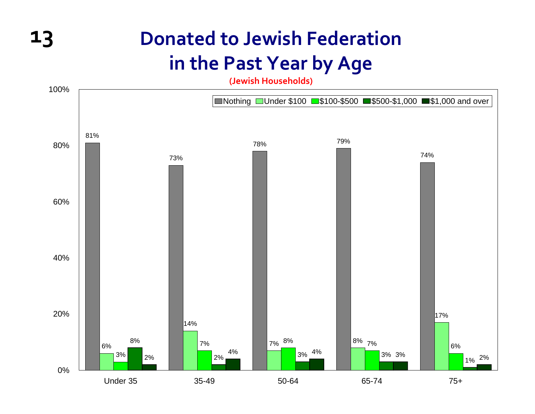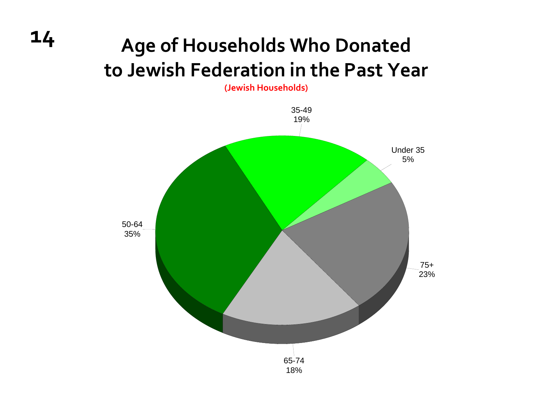# **<sup>14</sup> Age of Households Who Donated to Jewish Federation in the Past Year**

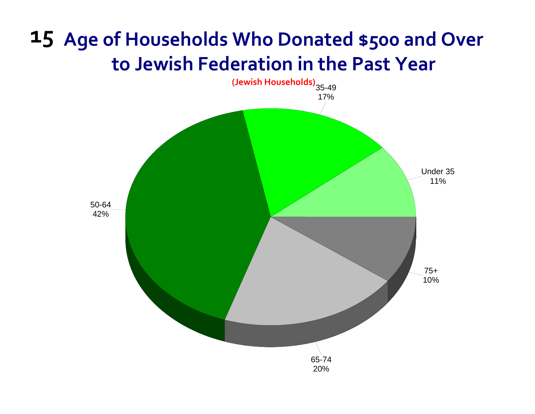# **15 Age of Households Who Donated \$500 and Over to Jewish Federation in the Past Year**

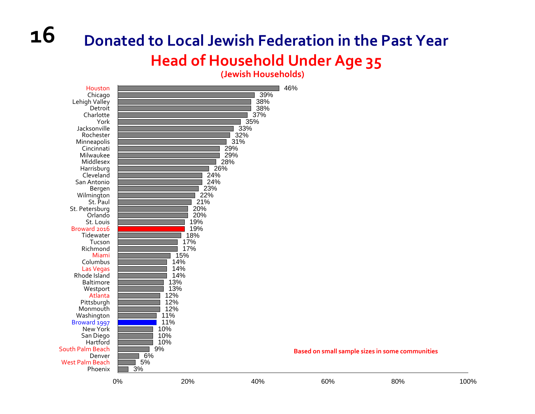### **Donated to Local Jewish Federation in the Past Year Head of Household Under Age 35**

**(Jewish Households)**



**16**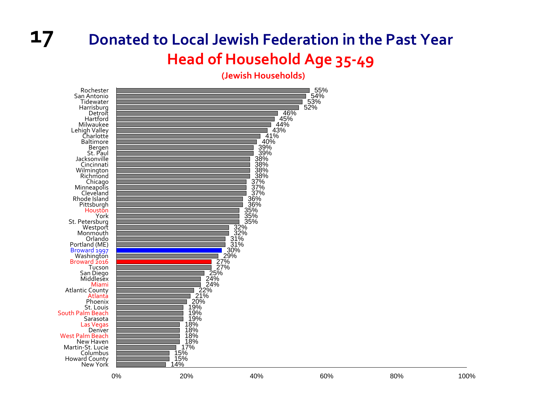#### **17 Donated to Local Jewish Federation in the Past Year Head of Household Age 35 ‐49**

**(Jewish Households)**

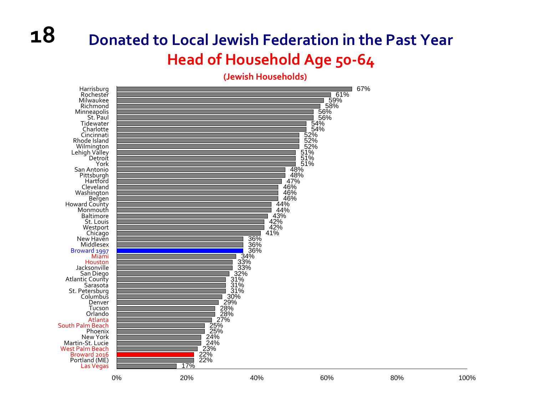### **Donated to Local Jewish Federation in the Past Year Head of Household Age 50 ‐64**

**(Jewish Households)**

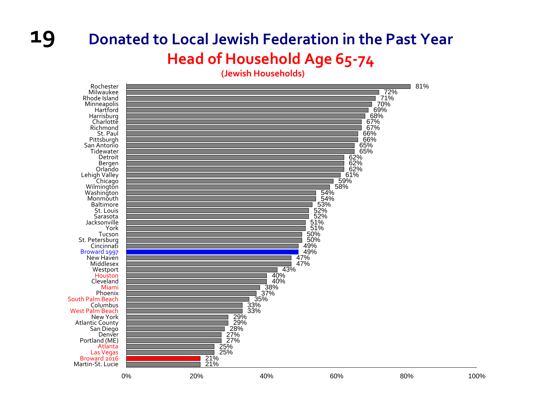### **Donated to Local Jewish Federation in the Past Year Head of Household Age 65 ‐74**

**(Jewish Households)**



**19**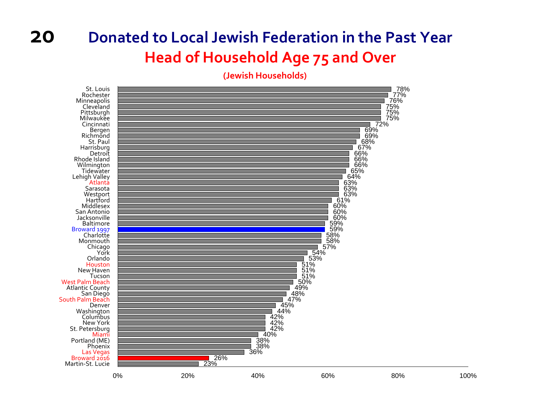#### **20Donated to Local Jewish Federation in the Past Year Head of Household Age 75 and Over**

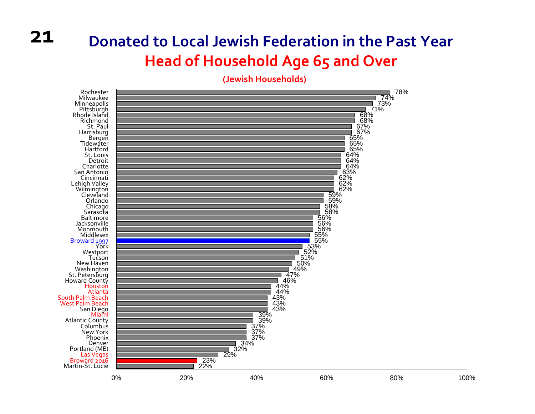### **Donated to Local Jewish Federation in the Past Year Head of Household Age 65 and Over**

**(Jewish Households)**

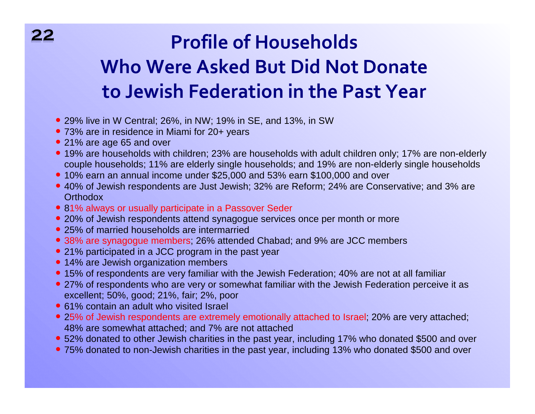# **Profile of Households Who Were Asked But Did Not Donate to Jewish Federation in the Past Year**

- 29% live in W Central; 26%, in NW; 19% in SE, and 13%, in SW
- 73% are in residence in Miami for 20+ years )
- 21% are age 65 and over
- 19% are households with children; 23% are households with adult children only; 17% are non-elderly couple households; 11% are elderly single households; and 19% are non-elderly single households
- 10% earn an annual income under \$25,000 and 53% earn \$100,000 and over
- 40% of Jewish respondents are Just Jewish; 32% are Reform; 24% are Conservative; and 3% are **Orthodox**
- 81% always or usually participate in a Passover Seder
- 20% of Jewish respondents attend synagogue services once per month or more
- 25% of married households are intermarried
- 38% are synagogue members; 26% attended Chabad; and 9% are JCC members )
- 21% participated in a JCC program in the past year
- 14% are Jewish organization members
- 15% of respondents are very familiar with the Jewish Federation; 40% are not at all familiar
- 27% of respondents who are very or somewhat familiar with the Jewish Federation perceive it as excellent; 50%, good; 21%, fair; 2%, poor
- 61% contain an adult who visited Israel
- 25% of Jewish respondents are extremely emotionally attached to Israel; 20% are very attached; ) 48% are somewhat attached; and 7% are not attached
- 52% donated to other Jewish charities in the past year, including 17% who donated \$500 and over
- 75% donated to non-Jewish charities in the past year, including 13% who donated \$500 and over

**2222**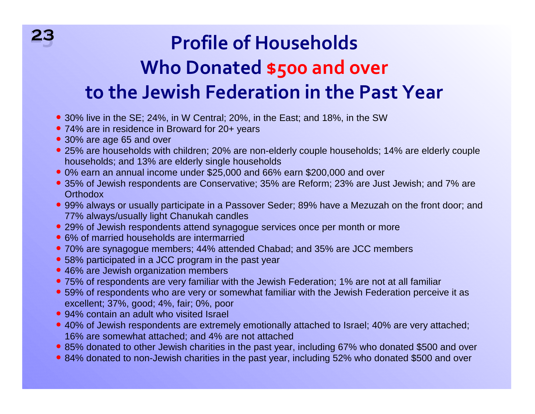# **23 Profile of Households Who Donated \$500 and over to the Jewish Federation in the Past Year**

- 30% live in the SE; 24%, in W Central; 20%, in the East; and 18%, in the SW
- 74% are in residence in Broward for 20+ years
- 30% are age 65 and over

**23**

- 25% are households with children; 20% are non-elderly couple households; 14% are elderly couple households; and 13% are elderly single households
- 0% earn an annual income under \$25,000 and 66% earn \$200,000 and over )
- $\bullet$  35% of Jewish respondents are Conservative; 35% are Reform; 23% are Just Jewish; and 7% are **Orthodox**
- 99% always or usually participate in a Passover Seder; 89% have a Mezuzah on the front door; and 77% always/usually light Chanukah candles
- 29% of Jewish respondents attend synagogue services once per month or more
- 6% of married households are intermarried
- 70% are synagogue members; 44% attended Chabad; and 35% are JCC members )
- 58% participated in a JCC program in the past year
- 46% are Jewish organization members
- 75% of respondents are very familiar with the Jewish Federation; 1% are not at all familiar )
- 59% of respondents who are very or somewhat familiar with the Jewish Federation perceive it as ) excellent; 37%, good; 4%, fair; 0%, poor
- 94% contain an adult who visited Israel
- 40% of Jewish respondents are extremely emotionally attached to Israel; 40% are very attached; ) 16% are somewhat attached; and 4% are not attached
- 85% donated to other Jewish charities in the past year, including 67% who donated \$500 and over
- 84% donated to non-Jewish charities in the past year, including 52% who donated \$500 and over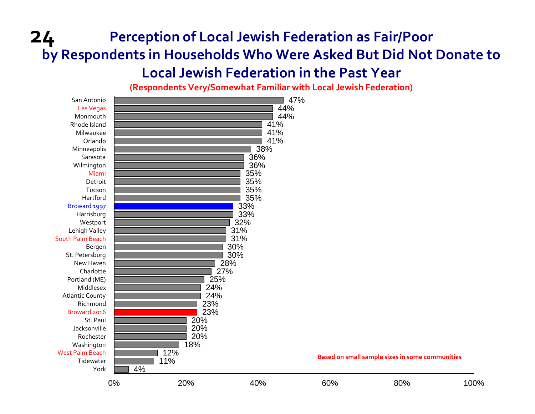### **24 Perception of Local Jewish Federation as Fair/Poor by Respondents in Households Who Were Asked But Did Not Donate to Local Jewish Federation in the Past Year**

**(Respondents Very/Somewhat Familiar with Local Jewish Federation)**

| San Antonio<br>Las Vegas<br>Monmouth<br>Rhode Island |     |            | 44%<br>44%<br>41% | 47% |                                                 |      |
|------------------------------------------------------|-----|------------|-------------------|-----|-------------------------------------------------|------|
| Milwaukee                                            |     |            | 41%               |     |                                                 |      |
| Orlando                                              |     |            | 41%               |     |                                                 |      |
| Minneapolis                                          |     |            | 38%               |     |                                                 |      |
| Sarasota                                             |     |            | 36%               |     |                                                 |      |
| Wilmington<br>Miami                                  |     |            | 36%<br>35%        |     |                                                 |      |
| Detroit                                              |     |            | 35%               |     |                                                 |      |
| Tucson                                               |     |            | 35%               |     |                                                 |      |
| Hartford                                             |     |            | 35%               |     |                                                 |      |
| Broward 1997                                         |     |            | 33%               |     |                                                 |      |
| Harrisburg                                           |     |            | 33%               |     |                                                 |      |
| Westport                                             |     |            | 32%               |     |                                                 |      |
| Lehigh Valley                                        |     |            | 31%               |     |                                                 |      |
| South Palm Beach                                     |     |            | 31%               |     |                                                 |      |
| Bergen                                               |     |            | 30%               |     |                                                 |      |
| St. Petersburg                                       |     |            | 30%               |     |                                                 |      |
| New Haven                                            |     | 28%        |                   |     |                                                 |      |
| Charlotte                                            |     | 27%        |                   |     |                                                 |      |
| Portland (ME)                                        |     | 25%        |                   |     |                                                 |      |
| Middlesex                                            |     | 24%        |                   |     |                                                 |      |
| <b>Atlantic County</b><br>Richmond                   |     | 24%        |                   |     |                                                 |      |
| Broward 2016                                         |     | 23%<br>23% |                   |     |                                                 |      |
| St. Paul                                             |     | 20%        |                   |     |                                                 |      |
| Jacksonville                                         |     | 20%        |                   |     |                                                 |      |
| Rochester                                            |     | 20%        |                   |     |                                                 |      |
| Washington                                           |     | 18%        |                   |     |                                                 |      |
| <b>West Palm Beach</b>                               | 12% |            |                   |     |                                                 |      |
| Tidewater                                            | 11% |            |                   |     | Based on small sample sizes in some communities |      |
| York                                                 | 4%  |            |                   |     |                                                 |      |
|                                                      | 0%  | 20%        | 40%               | 60% | 80%                                             | 100% |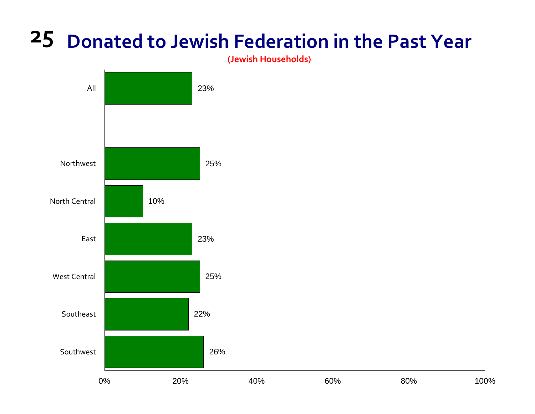**(Jewish Households)**

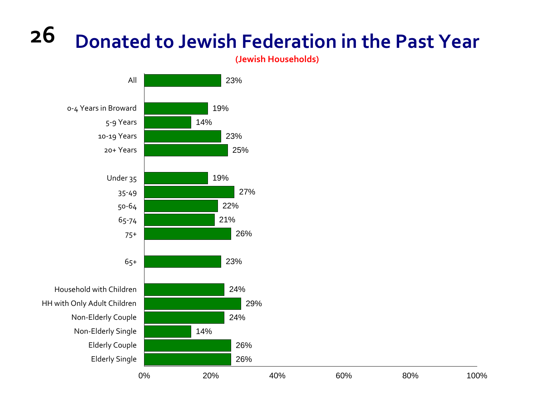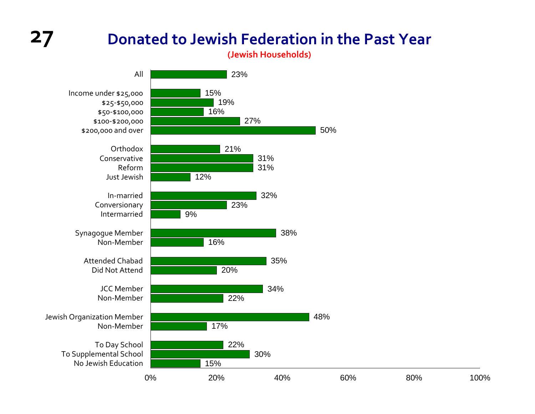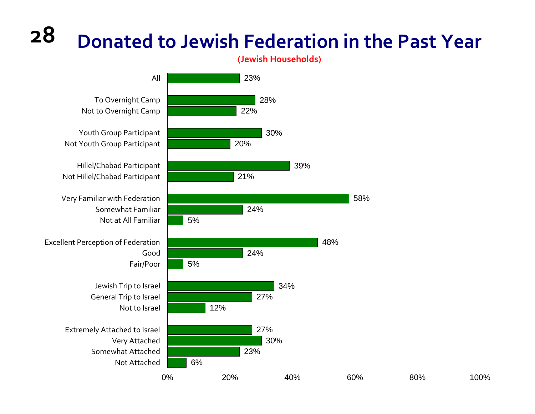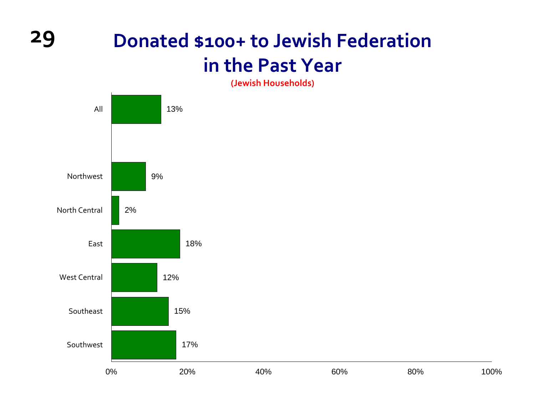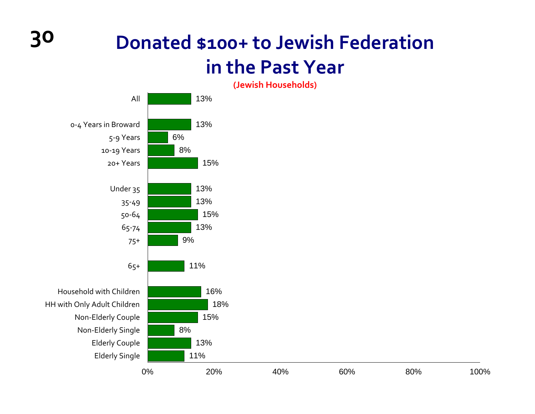

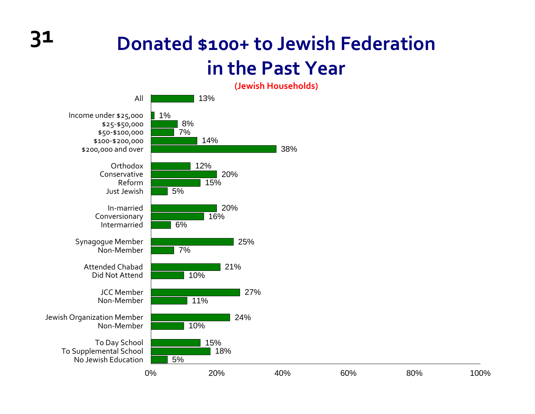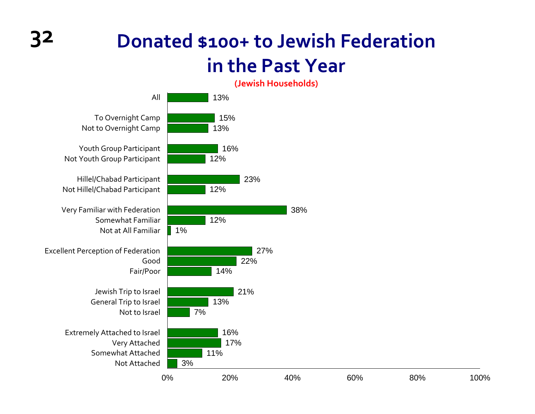

100%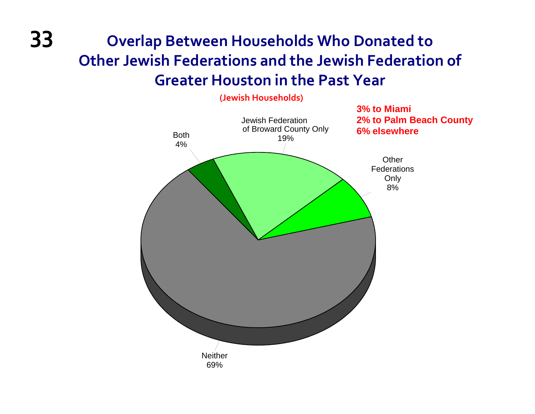### **33 Overlap Between Households Who Donated to Other Jewish Federations and the Jewish Federation of Greater Houston in the Past Year**

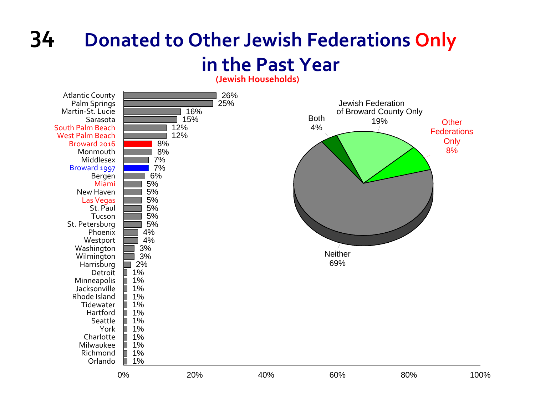### **34 Donated to Other Jewish Federations Only in the Past Year**

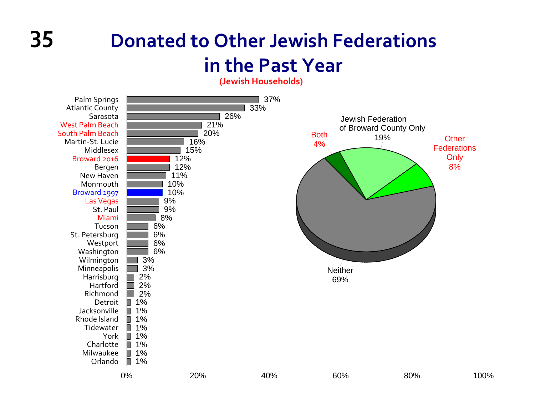**(Jewish Households)**

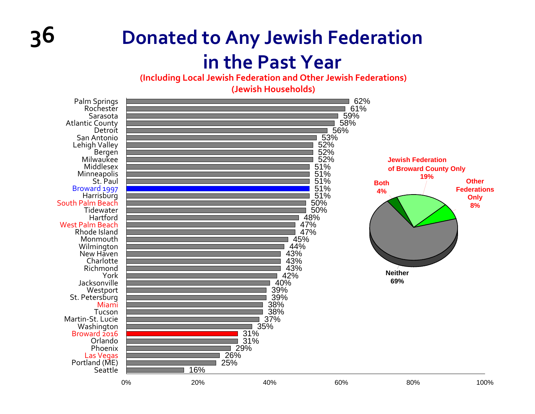**(Including Local Jewish Federation and Other Jewish Federations)**

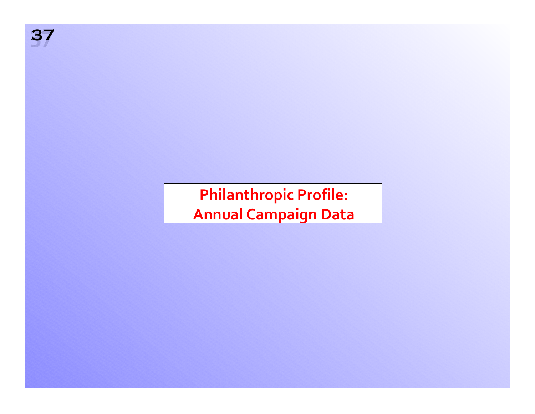

**Philanthropic Profile: Annual Campaign Data**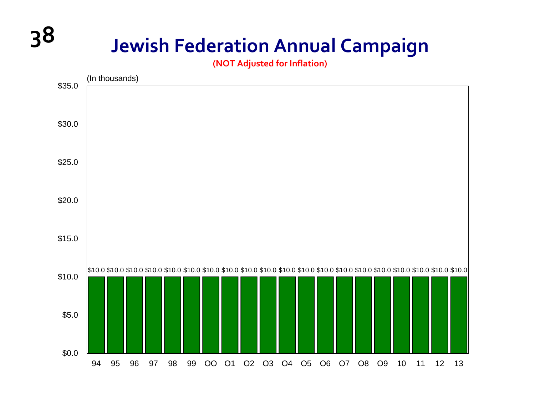# **38 Jewish Federation Annual Campaign**

**(NOT Adjusted for Inflation)**

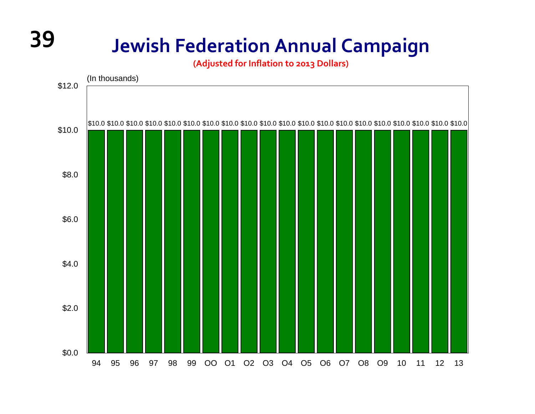# **39 Jewish Federation Annual Campaign**

**(Adjusted for Inflation to 2013 Dollars)**

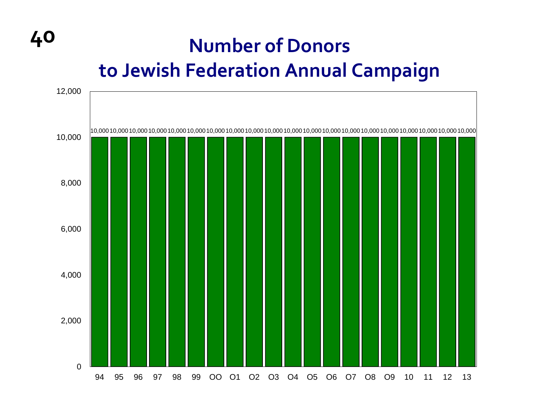# **40 Number of Donors to Jewish Federation Annual Campaign**

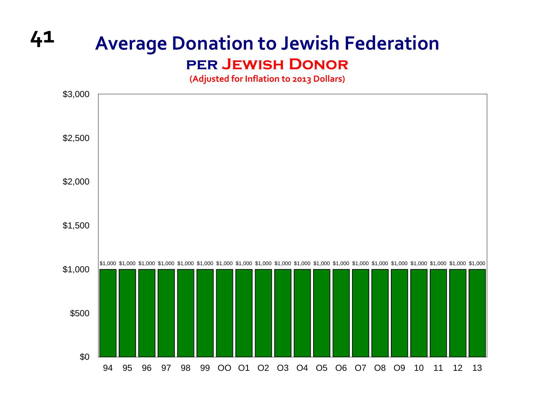### **<sup>41</sup> Average Donation to Jewish Federation per Jewish Donor**

**(Adjusted for Inflation to 2013 Dollars)**

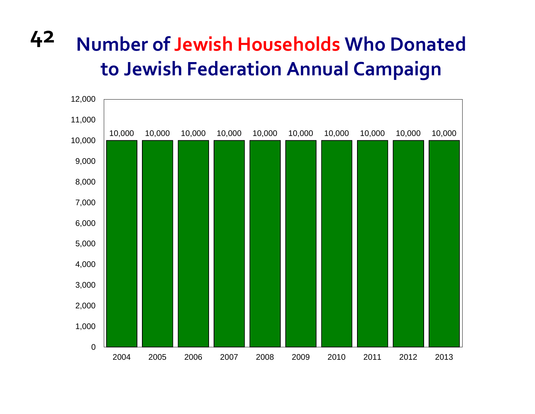# **42 Number of Jewish Households Who Donated to Jewish Federation Annual Campaign**

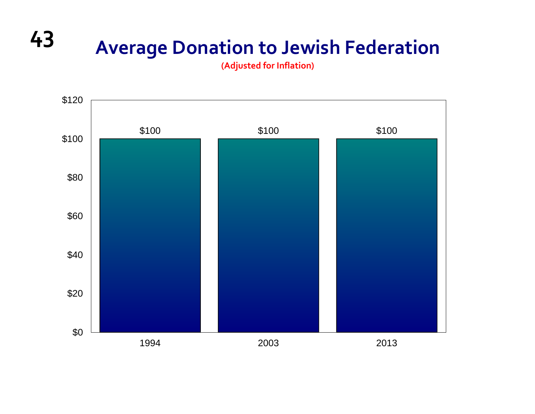# **<sup>43</sup> Average Donation to Jewish Federation**

**(Adjusted for Inflation)**

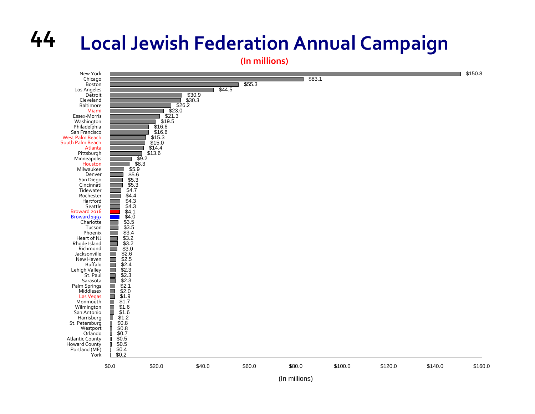# **44 Local Jewish Federation Annual Campaign**

**(In millions)**

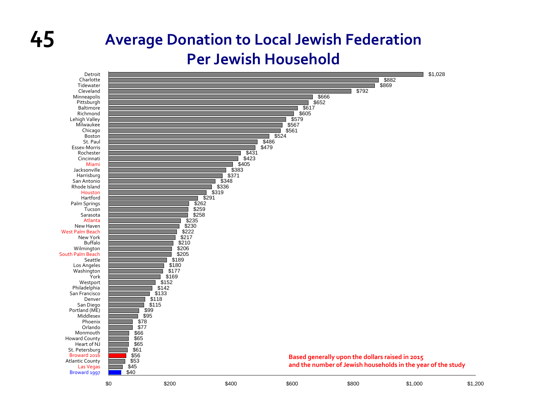# **45**

### **Average Donation to Local Jewish Federation Per Jewish Household**

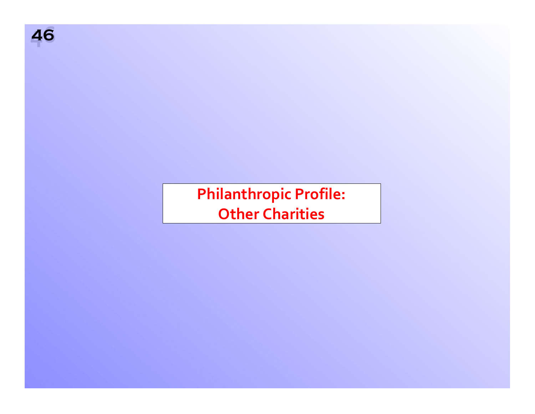

**Philanthropic Profile: Other Charities**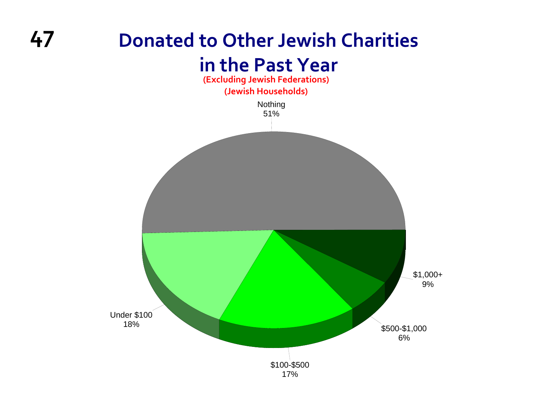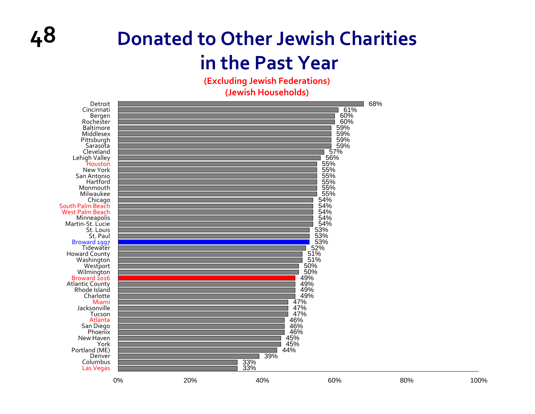**(Excluding Jewish Federations)**

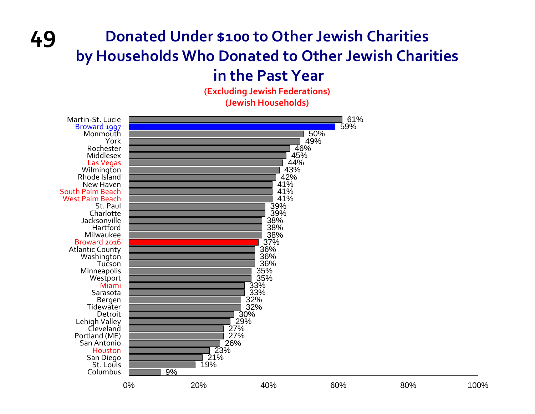### **49 Donated Under \$100 to Other Jewish Charities by Households Who Donated to Other Jewish Charities**

### **in the Past Year**

**(Excluding Jewish Federations) (Jewish Households)**

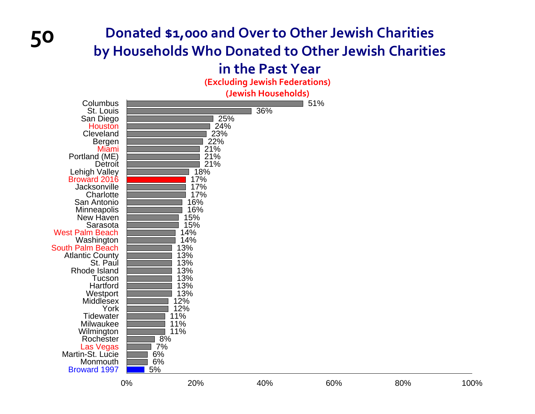# **<sup>50</sup> Donated \$1,000 and Over to Other Jewish Charities by Households Who Donated to Other Jewish Charities**

### **in the Past Year**

**(Excluding Jewish Federations)**

| (Jewish Households)                                                                                                                                                                                                                                                                                                                                                                                                                                                                                                                                          |                            |                                                                                                                                                                                                         |     |     |     |      |  |  |  |  |  |  |
|--------------------------------------------------------------------------------------------------------------------------------------------------------------------------------------------------------------------------------------------------------------------------------------------------------------------------------------------------------------------------------------------------------------------------------------------------------------------------------------------------------------------------------------------------------------|----------------------------|---------------------------------------------------------------------------------------------------------------------------------------------------------------------------------------------------------|-----|-----|-----|------|--|--|--|--|--|--|
| Columbus<br>St. Louis<br>San Diego<br><b>Houston</b><br>Cleveland<br>Bergen<br>Miami<br>Portland (ME)<br>Detroit<br>Lehigh Valley<br><b>Broward 2016</b><br>Jacksonville<br>Charlotte<br>San Antonio<br>Minneapolis<br>New Haven<br>Sarasota<br><b>West Palm Beach</b><br>Washington<br><b>South Palm Beach</b><br><b>Atlantic County</b><br>St. Paul<br>Rhode Island<br>Tucson<br>Hartford<br>Westport<br>Middlesex<br>York<br><b>Tidewater</b><br>Milwaukee<br>Wilmington<br>Rochester<br>Las Vegas<br>Martin-St. Lucie<br>Monmouth<br><b>Broward 1997</b> | 8%<br>7%<br>6%<br>6%<br>5% | 25%<br>24%<br>23%<br>22%<br>21%<br>21%<br>21%<br>18%<br>17%<br>17%<br>17%<br>16%<br>16%<br>15%<br>15%<br>14%<br>14%<br>13%<br>13%<br>13%<br>13%<br>13%<br>13%<br>13%<br>12%<br>12%<br>11%<br>11%<br>11% | 36% | 51% |     |      |  |  |  |  |  |  |
|                                                                                                                                                                                                                                                                                                                                                                                                                                                                                                                                                              | 0%                         | 20%                                                                                                                                                                                                     | 40% | 60% | 80% | 100% |  |  |  |  |  |  |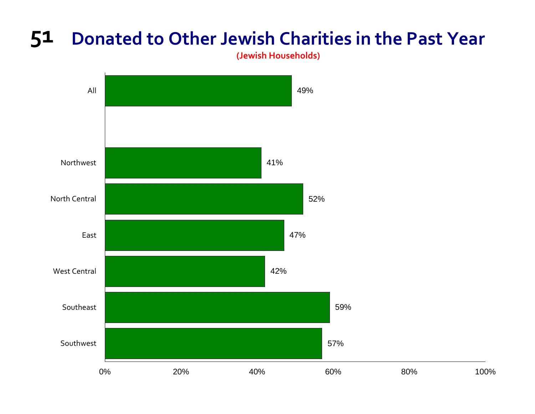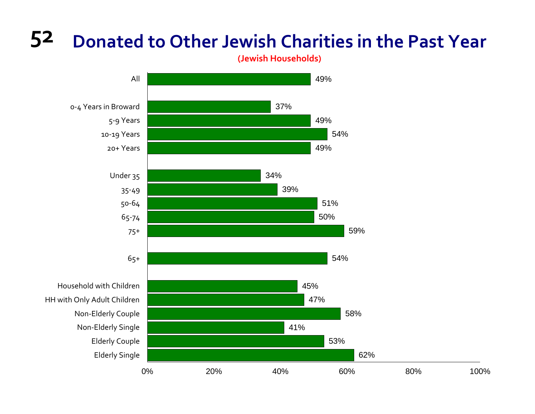

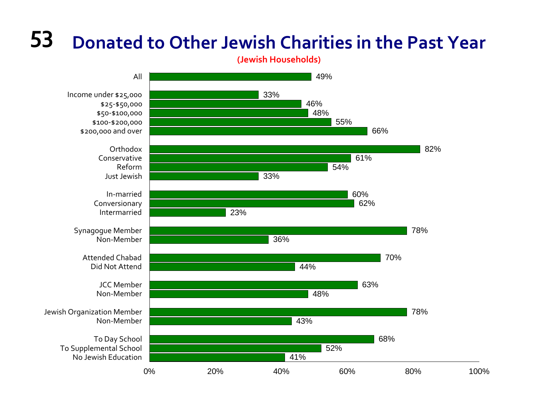

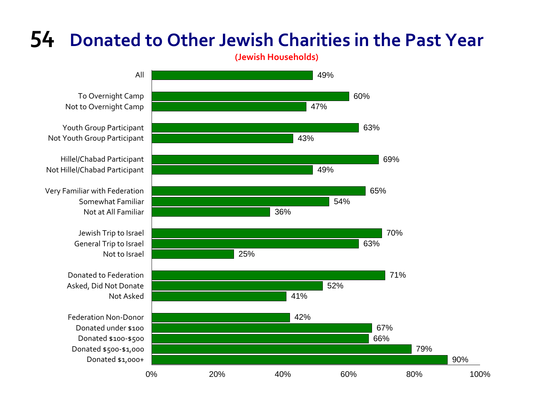**(Jewish Households)**



To Overnight Camp Not to Overnight Camp

Youth Group Participant Not Youth Group Participant

Hillel/Chabad Participant Not Hillel/Chabad Participant

Very Familiar with Federation Somewhat Familiar Not at All Familiar

> Jewish Trip to Israel General Trip to Israel

Donated to Federation Asked, Did Not Donate

Federation Non‐Donor Donated under \$100 Donated \$100‐\$500 Donated \$500‐\$1,000 Donated \$1,000+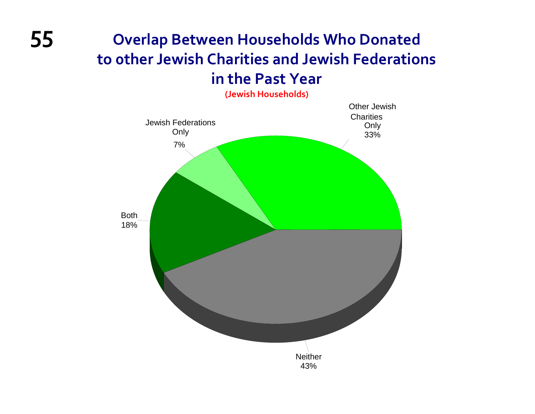### **55 Overlap Between Households Who Donated to 0ther Jewish Charities and Jewish Federations in the Past Year**

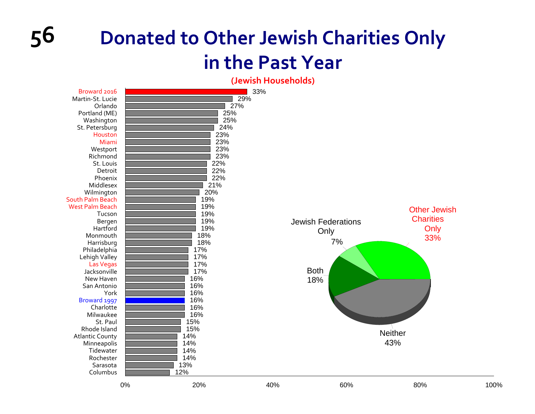**(Jewish Households)**

| Broward 2016<br>Martin-St. Lucie<br>Orlando<br>Portland (ME)<br>Washington<br>St. Petersburg<br>Houston<br>Miami<br>Westport<br>Richmond<br>St. Louis<br>Detroit<br>Phoenix                                                                              |    | 29%<br>27%<br>25%<br>25%<br>24%<br>23%<br>23%<br>23%<br>23%<br>22%<br>22%<br>22%                                    | 33% |                                                               |                                                        |      |
|----------------------------------------------------------------------------------------------------------------------------------------------------------------------------------------------------------------------------------------------------------|----|---------------------------------------------------------------------------------------------------------------------|-----|---------------------------------------------------------------|--------------------------------------------------------|------|
| Middlesex<br>Wilmington<br>South Palm Beach<br><b>West Palm Beach</b><br>Tucson<br>Bergen<br>Hartford<br>Monmouth<br>Harrisburg<br>Philadelphia<br>Lehigh Valley<br><b>Las Vegas</b><br>Jacksonville<br>New Haven<br>San Antonio<br>York<br>Broward 1997 |    | 21%<br>20%<br>19%<br>19%<br>19%<br>19%<br>19%<br>18%<br>18%<br>17%<br>17%<br>17%<br>17%<br>16%<br>16%<br>16%<br>16% |     | <b>Jewish Federations</b><br>Only<br>7%<br><b>Both</b><br>18% | <b>Other Jewish</b><br><b>Charities</b><br>Only<br>33% |      |
| Charlotte<br>Milwaukee<br>St. Paul<br>Rhode Island<br><b>Atlantic County</b><br>Minneapolis<br>Tidewater<br>Rochester<br>Sarasota<br>Columbus                                                                                                            |    | 16%<br>16%<br>15%<br>15%<br>14%<br>14%<br>14%<br>14%<br>13%<br>12%                                                  |     |                                                               | <b>Neither</b><br>43%                                  |      |
|                                                                                                                                                                                                                                                          | 0% | 20%                                                                                                                 | 40% | 60%                                                           | 80%                                                    | 100% |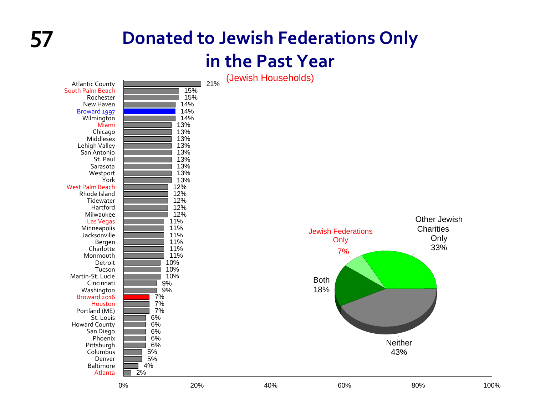### **57 Donated to Jewish Federations Only in the Past Year**

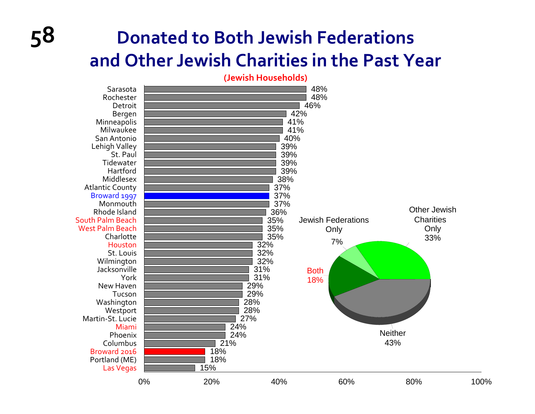## **58 Donated to Both Jewish Federations and Other Jewish Charities in the Past Year**

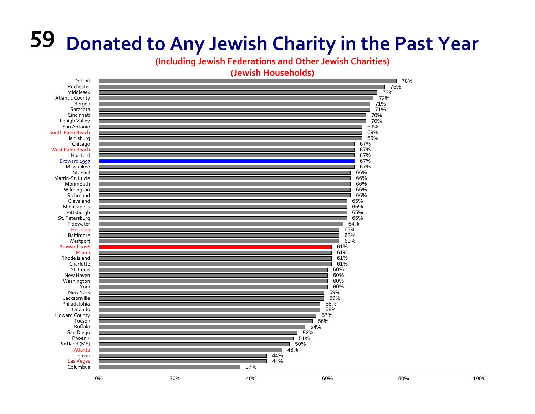**(Including Jewish Federations and Other Jewish Charities)**

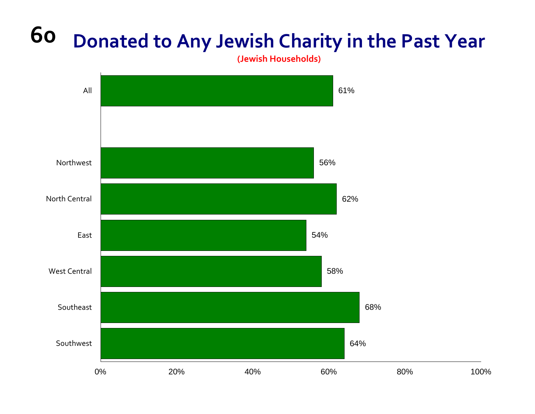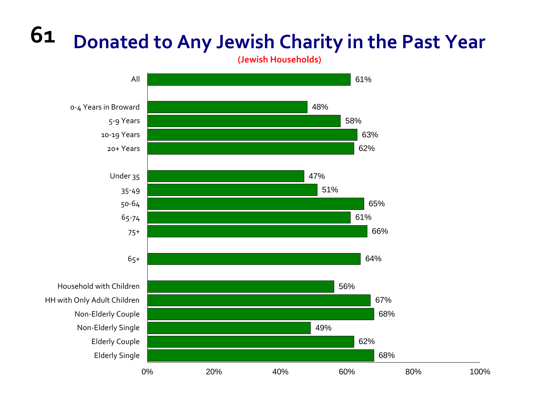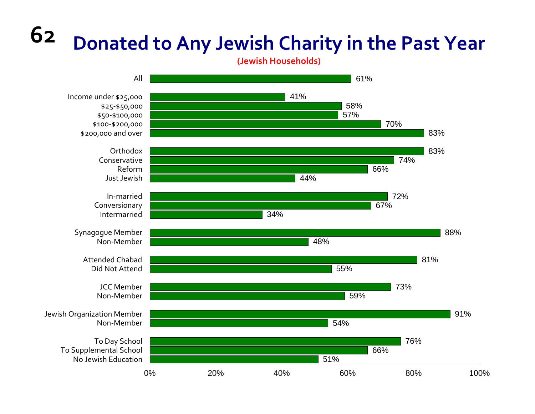

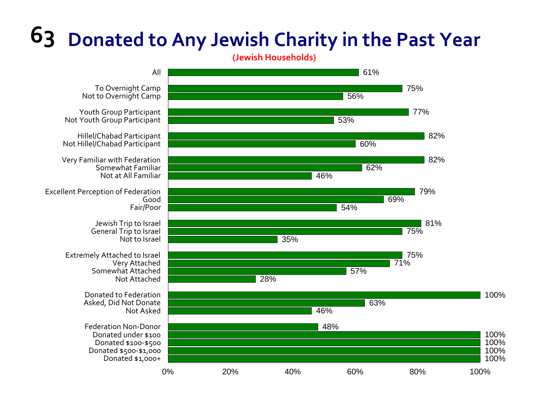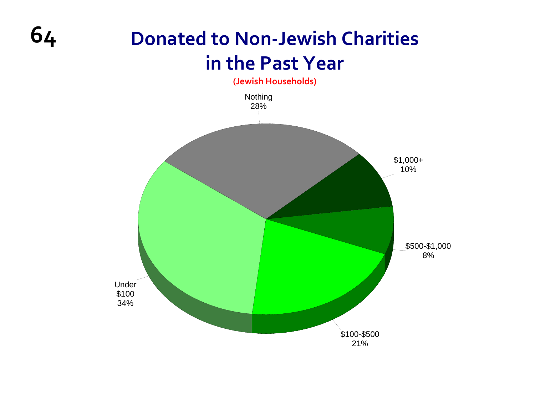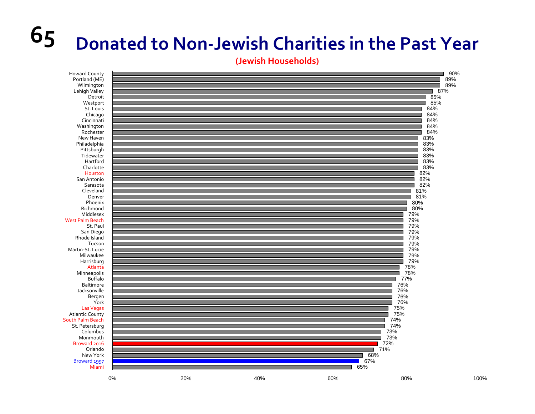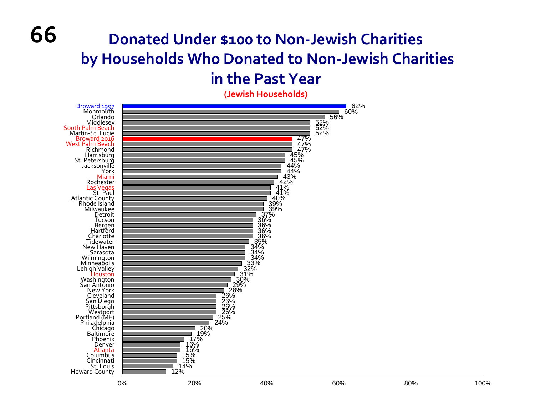## **Donated Under \$100 to Non ‐Jewish Charities by Households Who Donated to Non ‐Jewish Charities**

### **in the Past Year**

**(Jewish Households)**



**66**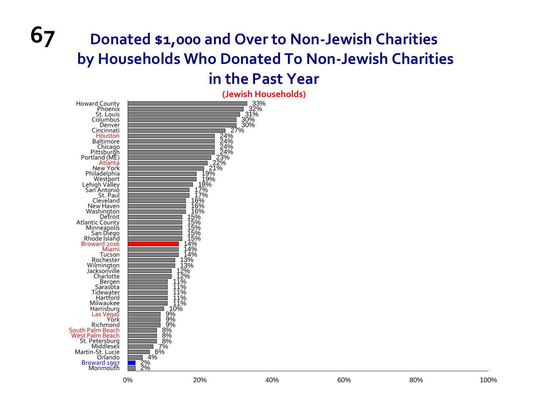### **67 Donated \$1,000 and Over to Non ‐Jewish Charities by Households Who Donated To Non ‐Jewish Charities in the Past Year**

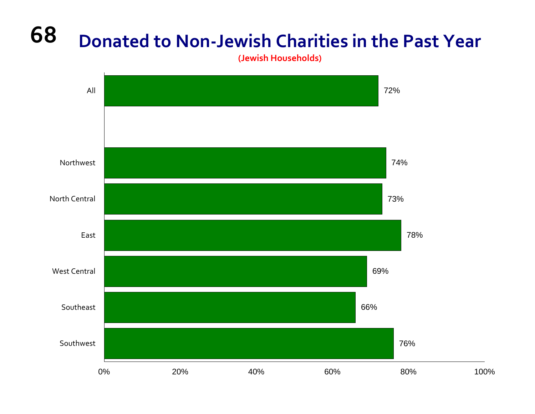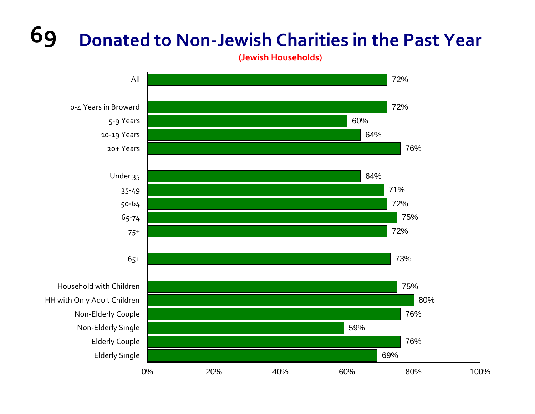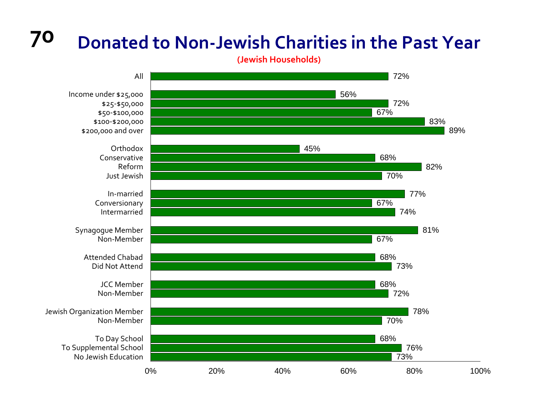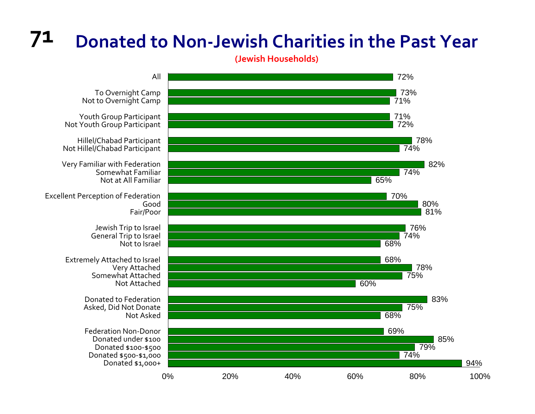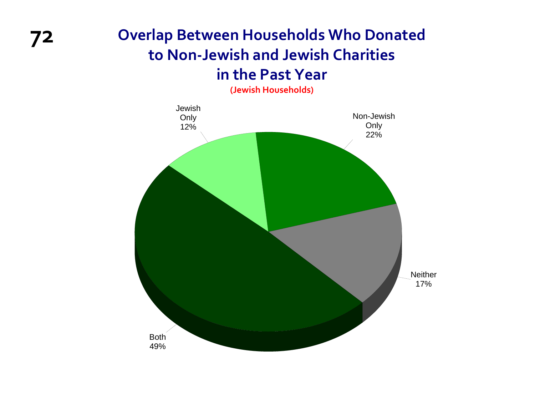### **72 Overlap Between Households Who Donated to Non‐Jewish and Jewish Charities in the Past Year**

**(Jewish Households)**

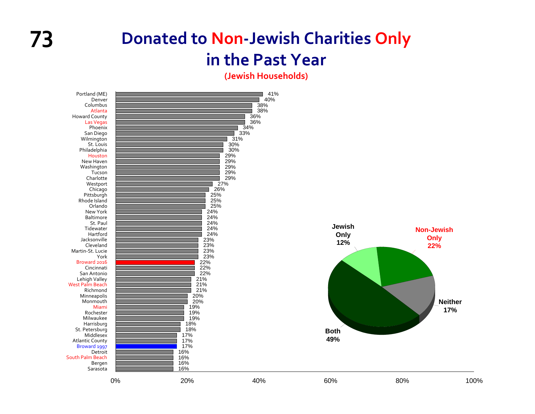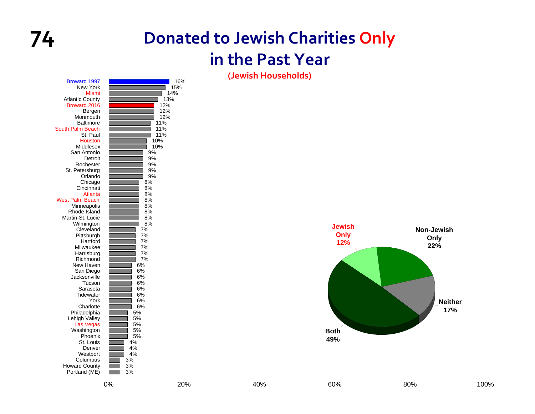

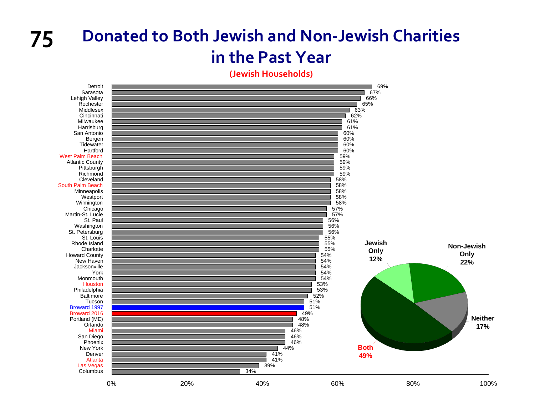### **75 Donated to Both Jewish and Non‐Jewish Charities in the Past Year**

**(Jewish Households)**

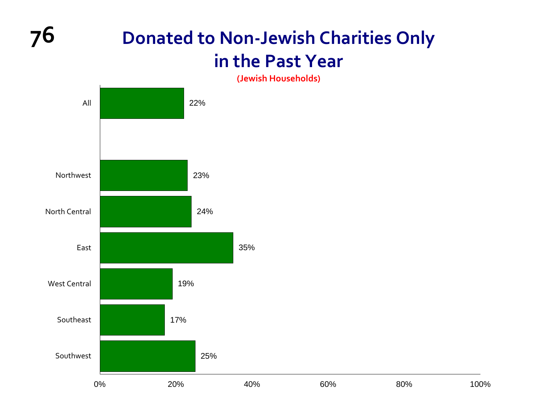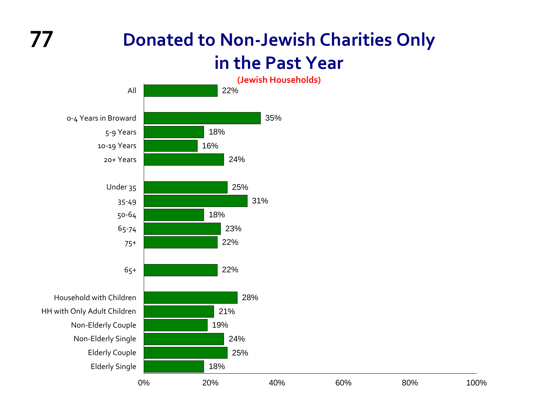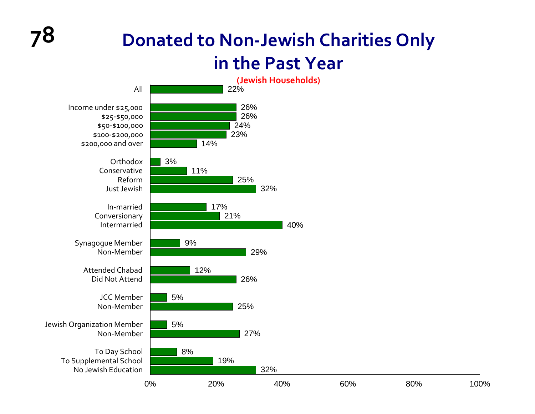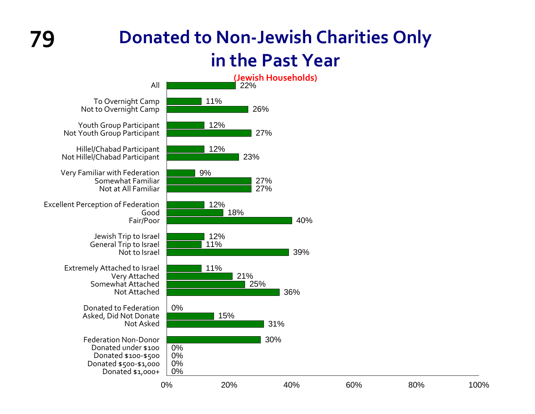## **79**

### **Donated to Non‐Jewish Charities Only in the Past Year**

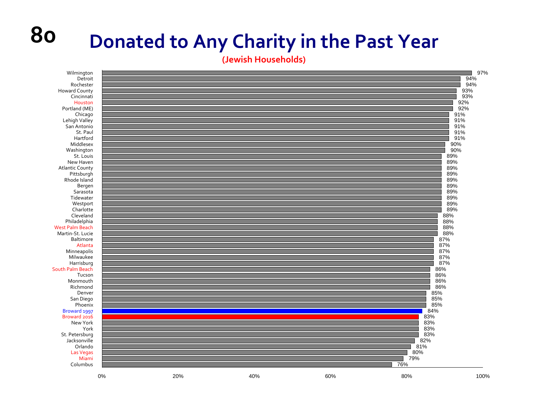### **Donated to Any Charity in the Past Year**

**80**

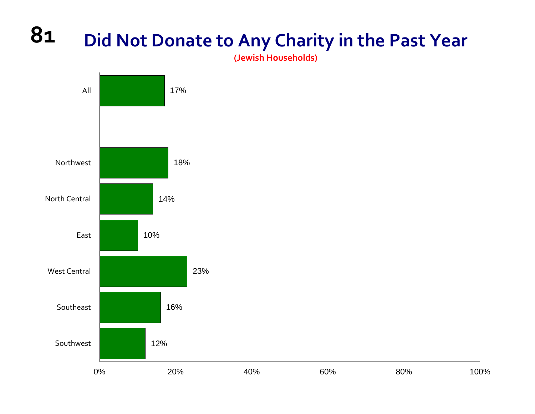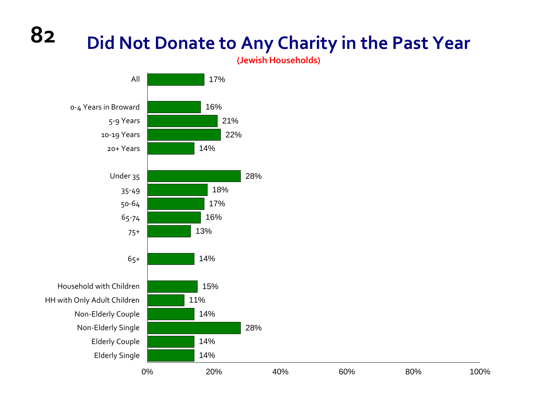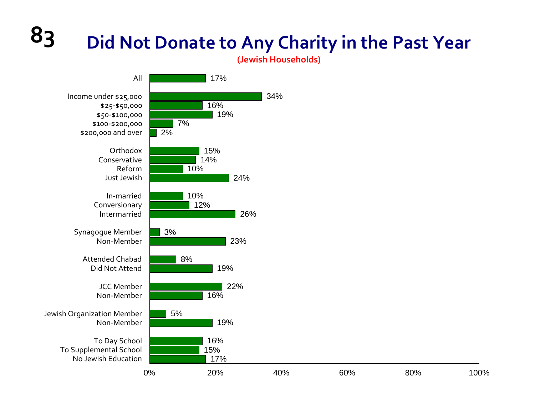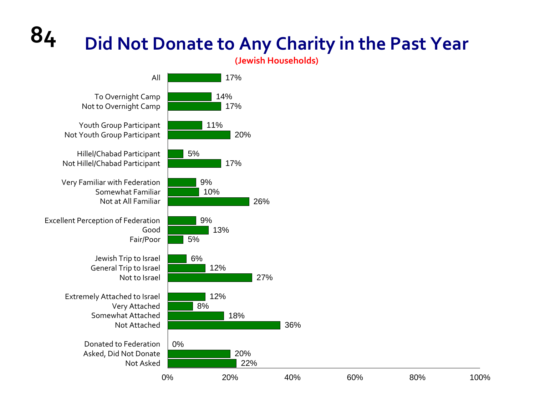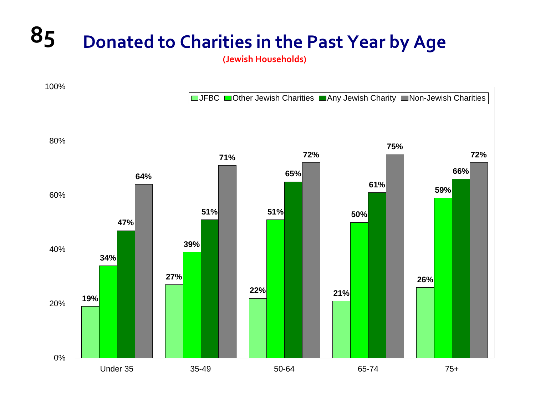# **85 Donated to Charities in the Past Year by Age**

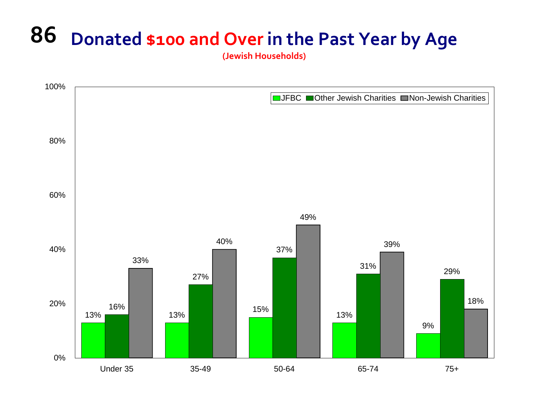## **86 Donated \$100 and Over in the Past Year by Age**

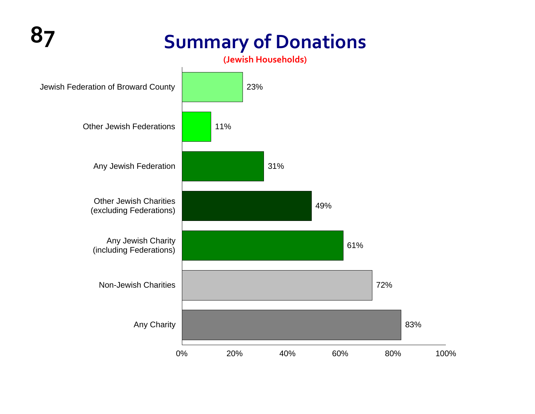## **87 Summary of Donations**

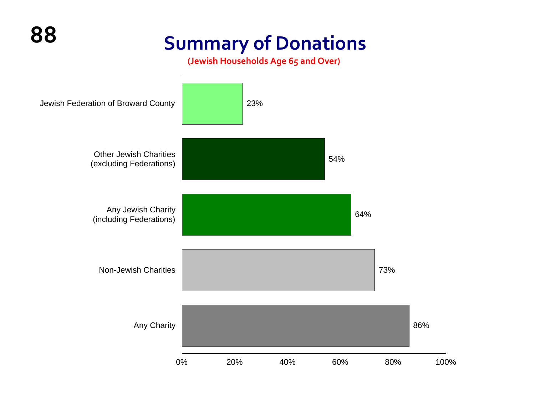## **Summary of Donations**

**(Jewish Households Age 65 and Over)**

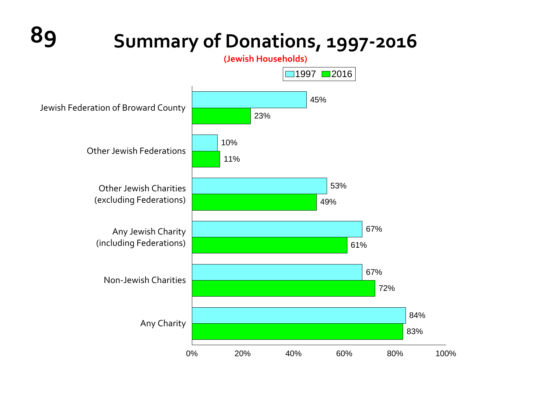**89 Summary of Donations, <sup>1997</sup>‐<sup>2016</sup>**

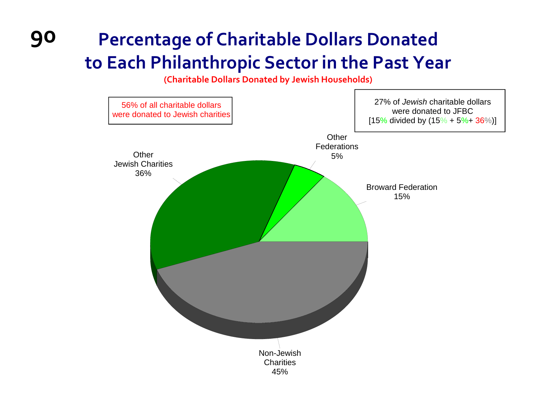### **90 Percentage of Charitable Dollars Donated to Each Philanthropic Sector in the Past Year**

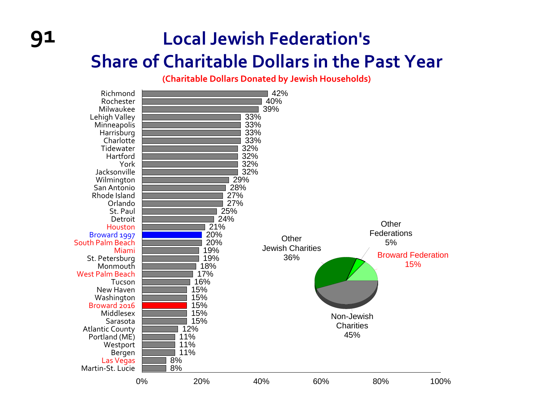### **Local Jewish Federation's Share of Charitable Dollars in the Past Year**

**91**

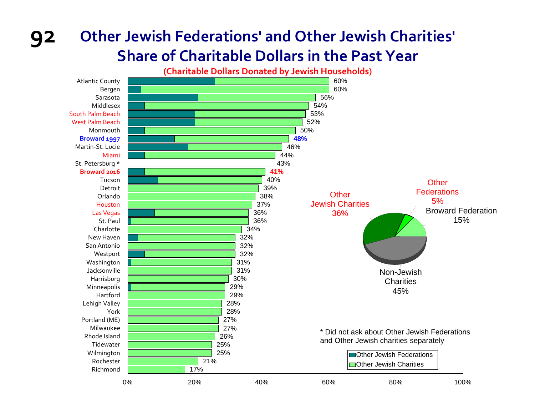### **Other Jewish Federations' and Other Jewish Charities' Share of Charitable Dollars in the Past Year**



**92**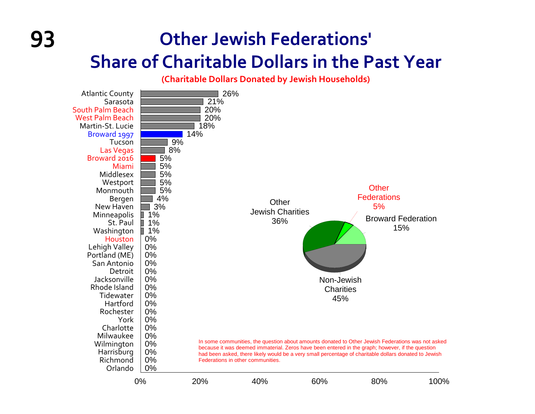### **Other Jewish Federations' Share of Charitable Dollars in the Past Year**

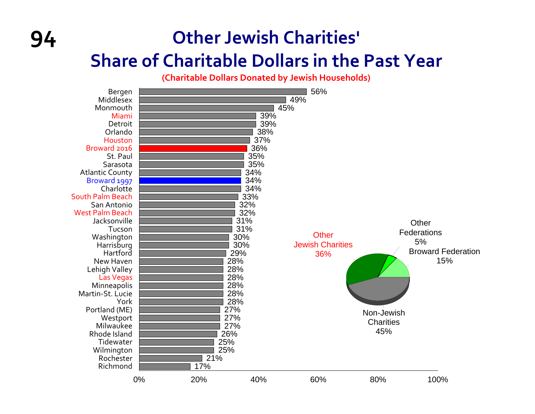### **Other Jewish Charities' Share of Charitable Dollars in the Past Year**

**94**

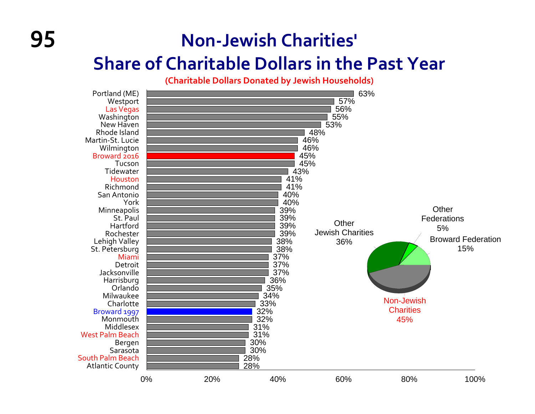## **Non‐Jewish Charities'**

### **Share of Charitable Dollars in the Past Year**

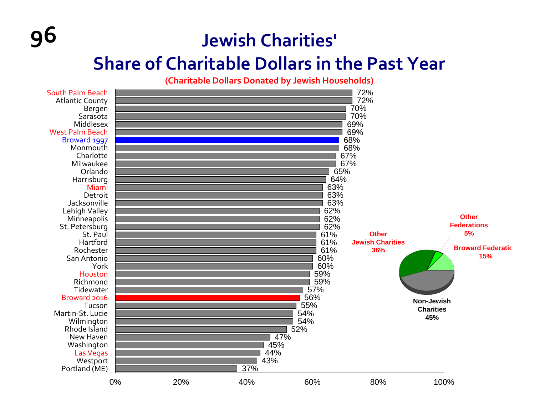### **Jewish Charities'**

**96**

### **Share of Charitable Dollars in the Past Year**

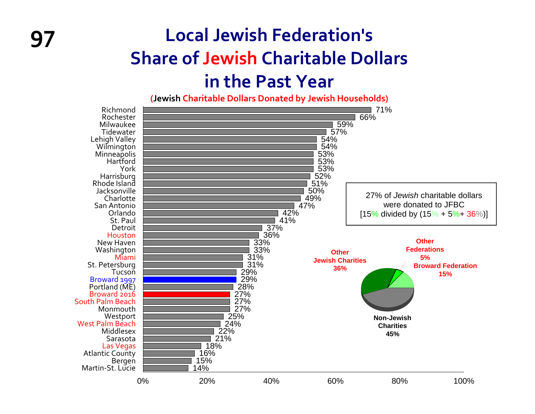### **97 Local Jewish Federation's Share of Jewish Charitable Dollars in the Past Year**

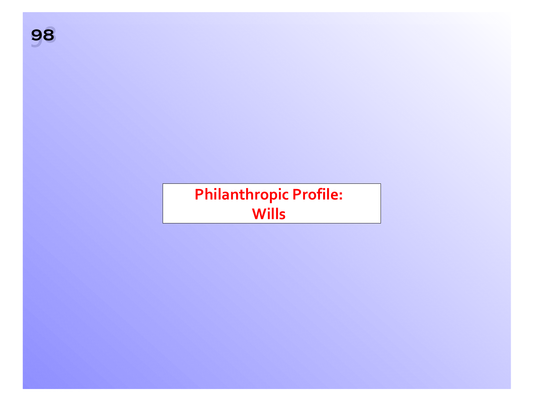### **Philanthropic Profile: Wills**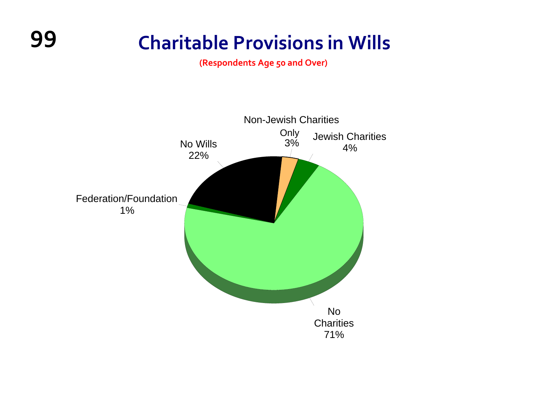### **99 Charitable Provisions in Wills**

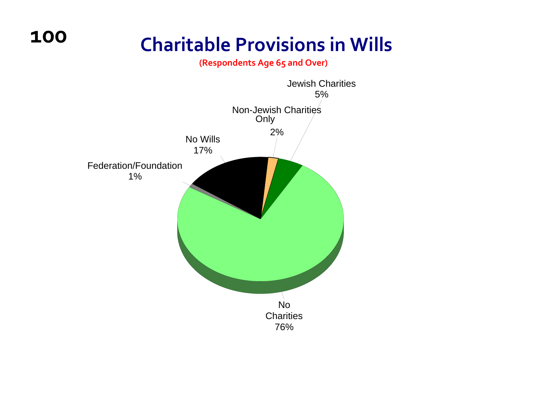### **Charitable Provisions in Wills**

**(Respondents Age 65 and Over)**



**100**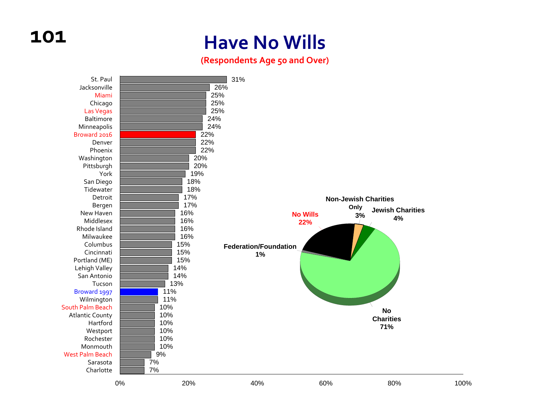### **Have No Wills**

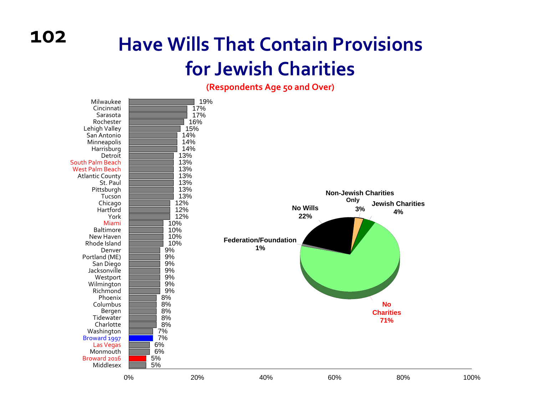### **Have Wills That Contain Provisions for Jewish Charities**

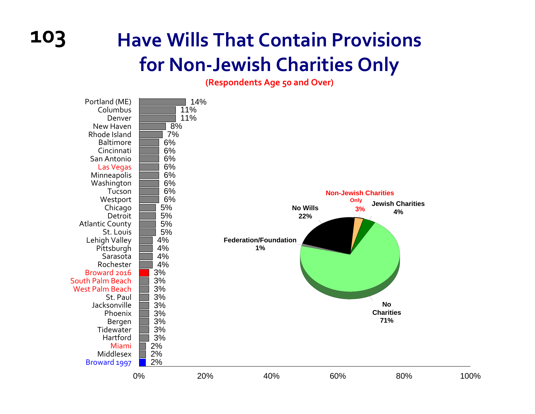## **103 Have Wills That Contain Provisions for Non‐Jewish Charities Only**

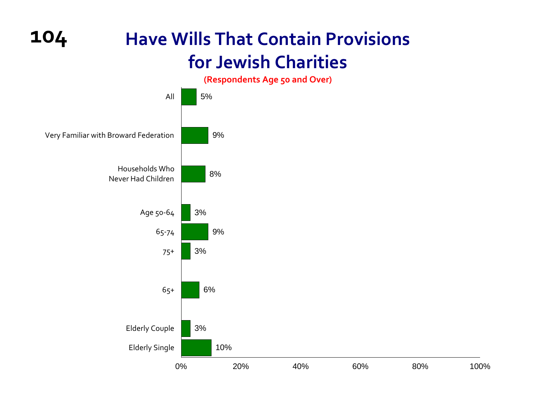**104**

### **Have Wills That Contain Provisions for Jewish Charities**

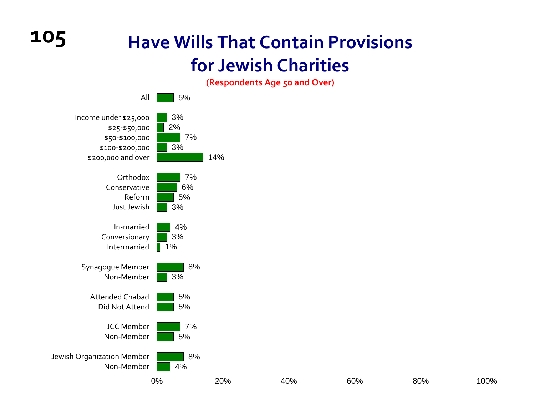### **Have Wills That Contain Provisions for Jewish Charities**